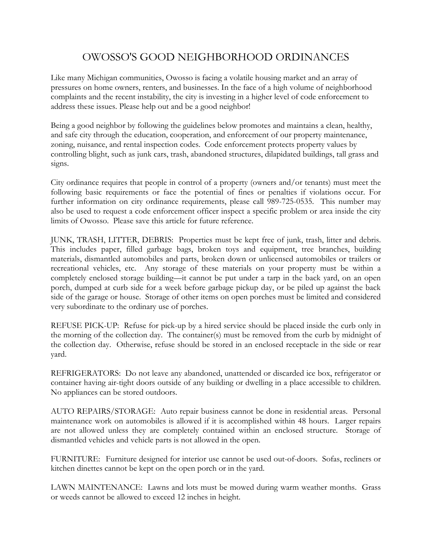## OWOSSO'S GOOD NEIGHBORHOOD ORDINANCES

Like many Michigan communities, Owosso is facing a volatile housing market and an array of pressures on home owners, renters, and businesses. In the face of a high volume of neighborhood complaints and the recent instability, the city is investing in a higher level of code enforcement to address these issues. Please help out and be a good neighbor!

Being a good neighbor by following the guidelines below promotes and maintains a clean, healthy, and safe city through the education, cooperation, and enforcement of our property maintenance, zoning, nuisance, and rental inspection codes. Code enforcement protects property values by controlling blight, such as junk cars, trash, abandoned structures, dilapidated buildings, tall grass and signs.

City ordinance requires that people in control of a property (owners and/or tenants) must meet the following basic requirements or face the potential of fines or penalties if violations occur. For further information on city ordinance requirements, please call 989-725-0535. This number may also be used to request a code enforcement officer inspect a specific problem or area inside the city limits of Owosso. Please save this article for future reference.

JUNK, TRASH, LITTER, DEBRIS: Properties must be kept free of junk, trash, litter and debris. This includes paper, filled garbage bags, broken toys and equipment, tree branches, building materials, dismantled automobiles and parts, broken down or unlicensed automobiles or trailers or recreational vehicles, etc. Any storage of these materials on your property must be within a completely enclosed storage building—it cannot be put under a tarp in the back yard, on an open porch, dumped at curb side for a week before garbage pickup day, or be piled up against the back side of the garage or house. Storage of other items on open porches must be limited and considered very subordinate to the ordinary use of porches.

REFUSE PICK-UP: Refuse for pick-up by a hired service should be placed inside the curb only in the morning of the collection day. The container(s) must be removed from the curb by midnight of the collection day. Otherwise, refuse should be stored in an enclosed receptacle in the side or rear yard.

REFRIGERATORS: Do not leave any abandoned, unattended or discarded ice box, refrigerator or container having air-tight doors outside of any building or dwelling in a place accessible to children. No appliances can be stored outdoors.

AUTO REPAIRS/STORAGE: Auto repair business cannot be done in residential areas. Personal maintenance work on automobiles is allowed if it is accomplished within 48 hours. Larger repairs are not allowed unless they are completely contained within an enclosed structure. Storage of dismantled vehicles and vehicle parts is not allowed in the open.

FURNITURE: Furniture designed for interior use cannot be used out-of-doors. Sofas, recliners or kitchen dinettes cannot be kept on the open porch or in the yard.

LAWN MAINTENANCE: Lawns and lots must be mowed during warm weather months. Grass or weeds cannot be allowed to exceed 12 inches in height.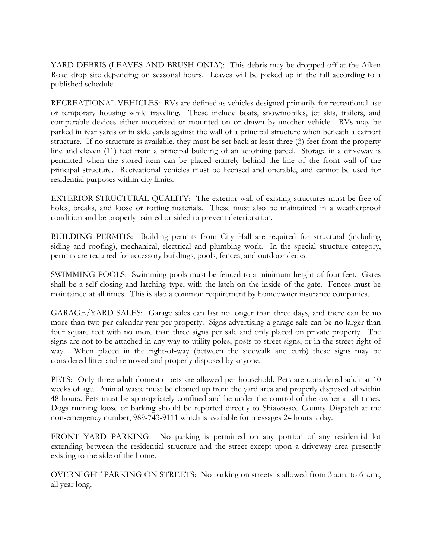YARD DEBRIS (LEAVES AND BRUSH ONLY): This debris may be dropped off at the Aiken Road drop site depending on seasonal hours. Leaves will be picked up in the fall according to a published schedule.

RECREATIONAL VEHICLES: RVs are defined as vehicles designed primarily for recreational use or temporary housing while traveling. These include boats, snowmobiles, jet skis, trailers, and comparable devices either motorized or mounted on or drawn by another vehicle. RVs may be parked in rear yards or in side yards against the wall of a principal structure when beneath a carport structure. If no structure is available, they must be set back at least three (3) feet from the property line and eleven (11) feet from a principal building of an adjoining parcel. Storage in a driveway is permitted when the stored item can be placed entirely behind the line of the front wall of the principal structure. Recreational vehicles must be licensed and operable, and cannot be used for residential purposes within city limits.

EXTERIOR STRUCTURAL QUALITY: The exterior wall of existing structures must be free of holes, breaks, and loose or rotting materials. These must also be maintained in a weatherproof condition and be properly painted or sided to prevent deterioration.

BUILDING PERMITS: Building permits from City Hall are required for structural (including siding and roofing), mechanical, electrical and plumbing work. In the special structure category, permits are required for accessory buildings, pools, fences, and outdoor decks.

SWIMMING POOLS: Swimming pools must be fenced to a minimum height of four feet. Gates shall be a self-closing and latching type, with the latch on the inside of the gate. Fences must be maintained at all times. This is also a common requirement by homeowner insurance companies.

GARAGE/YARD SALES: Garage sales can last no longer than three days, and there can be no more than two per calendar year per property. Signs advertising a garage sale can be no larger than four square feet with no more than three signs per sale and only placed on private property. The signs are not to be attached in any way to utility poles, posts to street signs, or in the street right of way. When placed in the right-of-way (between the sidewalk and curb) these signs may be considered litter and removed and properly disposed by anyone.

PETS: Only three adult domestic pets are allowed per household. Pets are considered adult at 10 weeks of age. Animal waste must be cleaned up from the yard area and properly disposed of within 48 hours. Pets must be appropriately confined and be under the control of the owner at all times. Dogs running loose or barking should be reported directly to Shiawassee County Dispatch at the non-emergency number, 989-743-9111 which is available for messages 24 hours a day.

FRONT YARD PARKING: No parking is permitted on any portion of any residential lot extending between the residential structure and the street except upon a driveway area presently existing to the side of the home.

OVERNIGHT PARKING ON STREETS: No parking on streets is allowed from 3 a.m. to 6 a.m., all year long.